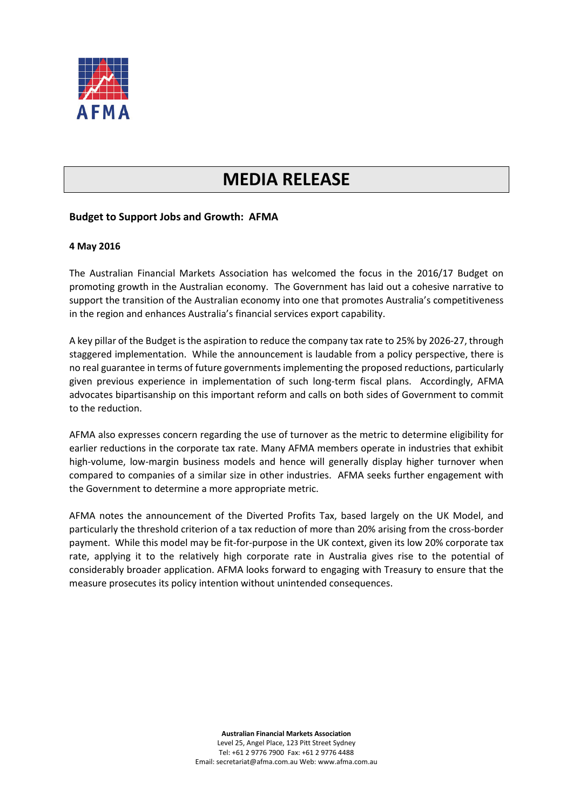

## **MEDIA RELEASE**

## **Budget to Support Jobs and Growth: AFMA**

## **4 May 2016**

The Australian Financial Markets Association has welcomed the focus in the 2016/17 Budget on promoting growth in the Australian economy. The Government has laid out a cohesive narrative to support the transition of the Australian economy into one that promotes Australia's competitiveness in the region and enhances Australia's financial services export capability.

A key pillar of the Budget is the aspiration to reduce the company tax rate to 25% by 2026-27, through staggered implementation. While the announcement is laudable from a policy perspective, there is no real guarantee in terms of future governments implementing the proposed reductions, particularly given previous experience in implementation of such long-term fiscal plans. Accordingly, AFMA advocates bipartisanship on this important reform and calls on both sides of Government to commit to the reduction.

AFMA also expresses concern regarding the use of turnover as the metric to determine eligibility for earlier reductions in the corporate tax rate. Many AFMA members operate in industries that exhibit high-volume, low-margin business models and hence will generally display higher turnover when compared to companies of a similar size in other industries. AFMA seeks further engagement with the Government to determine a more appropriate metric.

AFMA notes the announcement of the Diverted Profits Tax, based largely on the UK Model, and particularly the threshold criterion of a tax reduction of more than 20% arising from the cross-border payment. While this model may be fit-for-purpose in the UK context, given its low 20% corporate tax rate, applying it to the relatively high corporate rate in Australia gives rise to the potential of considerably broader application. AFMA looks forward to engaging with Treasury to ensure that the measure prosecutes its policy intention without unintended consequences.